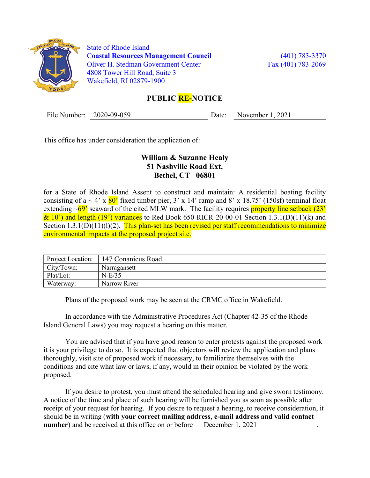

 State of Rhode Island Coastal Resources Management Council (401) 783-3370 Oliver H. Stedman Government Center Fax (401) 783-2069 4808 Tower Hill Road, Suite 3 Wakefield, RI 02879-1900

## PUBLIC **RE-NOTICE**

File Number: 2020-09-059 Date: November 1, 2021

This office has under consideration the application of:

## William & Suzanne Healy 51 Nashville Road Ext. Bethel, CT 06801

for a State of Rhode Island Assent to construct and maintain: A residential boating facility consisting of a  $\sim$  4' x  $80'$  fixed timber pier, 3' x 14' ramp and 8' x 18.75' (150sf) terminal float extending  $\sim$  69' seaward of the cited MLW mark. The facility requires property line setback (23'  $\&$  10') and length (19') variances to Red Book 650-RICR-20-00-01 Section 1.3.1(D)(11)(k) and Section  $1.3.1(D)(11)(1)(2)$ . This plan-set has been revised per staff recommendations to minimize environmental impacts at the proposed project site.

| Project Location: | 147 Conanicus Road |
|-------------------|--------------------|
| City/Town:        | Narragansett       |
| Plat/Lot:         | $N-E/35$           |
| Waterway:         | Narrow River       |

Plans of the proposed work may be seen at the CRMC office in Wakefield.

In accordance with the Administrative Procedures Act (Chapter 42-35 of the Rhode Island General Laws) you may request a hearing on this matter.

You are advised that if you have good reason to enter protests against the proposed work it is your privilege to do so. It is expected that objectors will review the application and plans thoroughly, visit site of proposed work if necessary, to familiarize themselves with the conditions and cite what law or laws, if any, would in their opinion be violated by the work proposed.

If you desire to protest, you must attend the scheduled hearing and give sworn testimony. A notice of the time and place of such hearing will be furnished you as soon as possible after receipt of your request for hearing. If you desire to request a hearing, to receive consideration, it should be in writing (with your correct mailing address, e-mail address and valid contact number) and be received at this office on or before December 1, 2021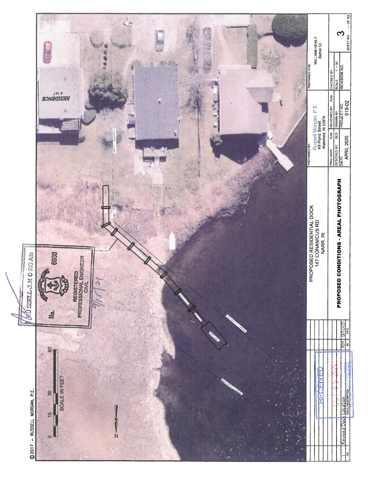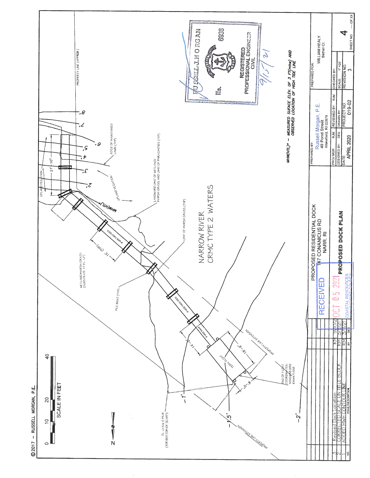

@2017 - RUSSELL MORGAN, P.E.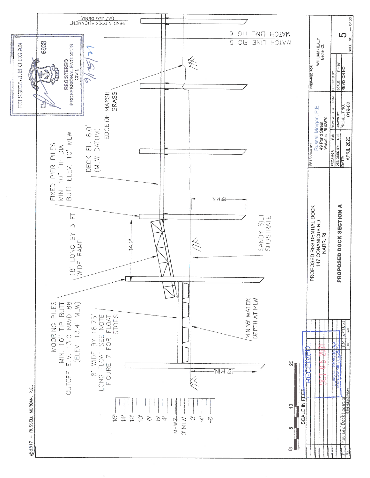